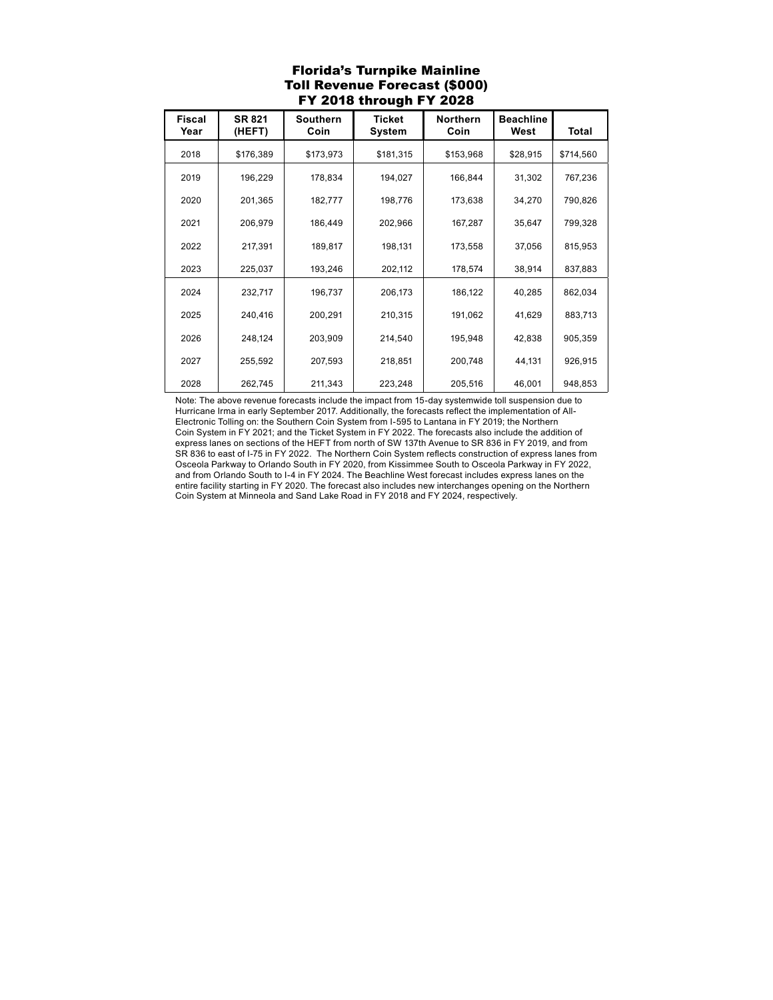## Florida's Turnpike Mainline Toll Revenue Forecast (\$000) FY 2018 through FY 2028

| <b>Fiscal</b><br>Year | <b>SR 821</b><br>(HEFT) | <b>Southern</b><br>Coin | <b>Ticket</b><br>System | <b>Northern</b><br>Coin | <b>Beachline</b><br>West | Total     |
|-----------------------|-------------------------|-------------------------|-------------------------|-------------------------|--------------------------|-----------|
| 2018                  | \$176,389               | \$173,973               | \$181,315               | \$153,968               | \$28,915                 | \$714,560 |
| 2019                  | 196,229                 | 178,834                 | 194,027                 | 166,844                 | 31,302                   | 767,236   |
| 2020                  | 201,365                 | 182,777                 | 198,776                 | 173,638                 | 34,270                   | 790,826   |
| 2021                  | 206,979                 | 186,449                 | 202,966                 | 167,287                 | 35,647                   | 799,328   |
| 2022                  | 217,391                 | 189,817                 | 198,131                 | 173,558                 | 37,056                   | 815,953   |
| 2023                  | 225,037                 | 193,246                 | 202,112                 | 178,574                 | 38,914                   | 837,883   |
| 2024                  | 232,717                 | 196,737                 | 206,173                 | 186,122                 | 40,285                   | 862,034   |
| 2025                  | 240,416                 | 200,291                 | 210,315                 | 191,062                 | 41,629                   | 883,713   |
| 2026                  | 248,124                 | 203,909                 | 214,540                 | 195,948                 | 42,838                   | 905,359   |
| 2027                  | 255,592                 | 207,593                 | 218,851                 | 200,748                 | 44,131                   | 926,915   |
|                       |                         |                         |                         |                         |                          |           |
| 2028                  | 262,745                 | 211,343                 | 223,248                 | 205,516                 | 46,001                   | 948,853   |

Note: The above revenue forecasts include the impact from 15-day systemwide toll suspension due to Hurricane Irma in early September 2017. Additionally, the forecasts reflect the implementation of All-Electronic Tolling on: the Southern Coin System from I-595 to Lantana in FY 2019; the Northern Coin System in FY 2021; and the Ticket System in FY 2022. The forecasts also include the addition of express lanes on sections of the HEFT from north of SW 137th Avenue to SR 836 in FY 2019, and from SR 836 to east of I-75 in FY 2022. The Northern Coin System reflects construction of express lanes from Osceola Parkway to Orlando South in FY 2020, from Kissimmee South to Osceola Parkway in FY 2022, and from Orlando South to I-4 in FY 2024. The Beachline West forecast includes express lanes on the entire facility starting in FY 2020. The forecast also includes new interchanges opening on the Northern Coin System at Minneola and Sand Lake Road in FY 2018 and FY 2024, respectively.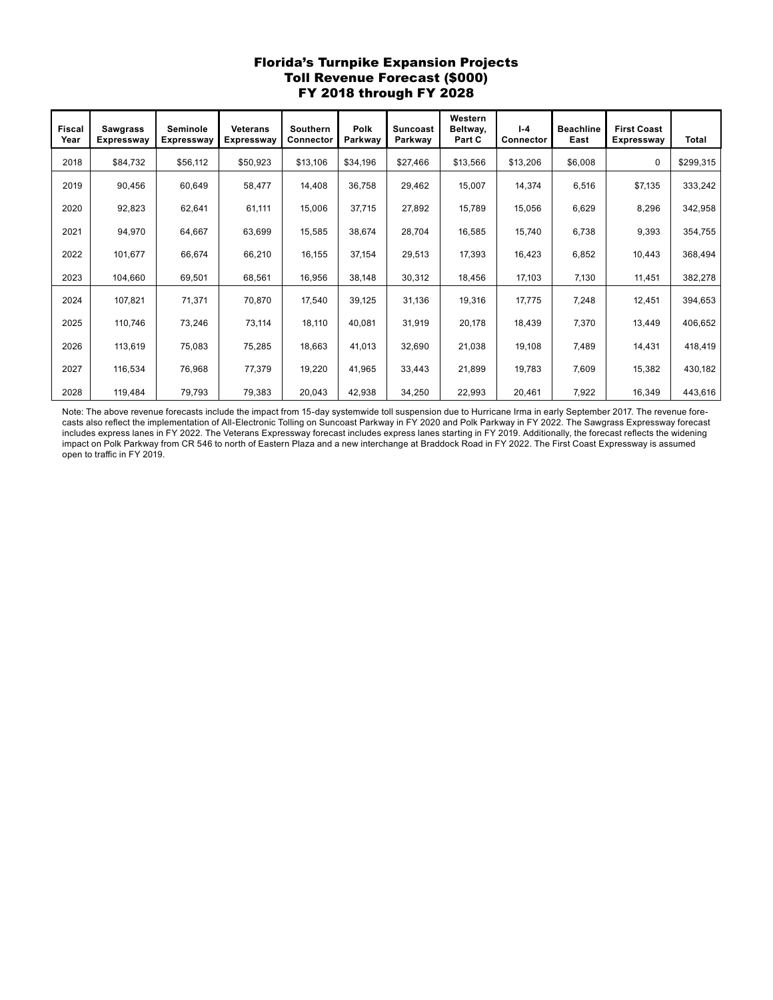## Florida's Turnpike Expansion Projects Toll Revenue Forecast (\$000) FY 2018 through FY 2028

| <b>Fiscal</b><br>Year | <b>Sawgrass</b><br>Expressway | Seminole<br><b>Expressway</b> | <b>Veterans</b><br><b>Expressway</b> | Southern<br>Connector | <b>Polk</b><br>Parkway | <b>Suncoast</b><br>Parkway | Western<br>Beltway,<br>Part C | $I - 4$<br>Connector | <b>Beachline</b><br>East | <b>First Coast</b><br>Expressway | Total     |
|-----------------------|-------------------------------|-------------------------------|--------------------------------------|-----------------------|------------------------|----------------------------|-------------------------------|----------------------|--------------------------|----------------------------------|-----------|
| 2018                  | \$84,732                      | \$56,112                      | \$50,923                             | \$13,106              | \$34,196               | \$27,466                   | \$13,566                      | \$13,206             | \$6,008                  | 0                                | \$299,315 |
| 2019                  | 90,456                        | 60,649                        | 58,477                               | 14,408                | 36,758                 | 29,462                     | 15,007                        | 14,374               | 6,516                    | \$7,135                          | 333,242   |
| 2020                  | 92,823                        | 62,641                        | 61,111                               | 15,006                | 37,715                 | 27,892                     | 15,789                        | 15,056               | 6,629                    | 8,296                            | 342,958   |
| 2021                  | 94,970                        | 64,667                        | 63,699                               | 15,585                | 38.674                 | 28,704                     | 16,585                        | 15,740               | 6,738                    | 9,393                            | 354,755   |
| 2022                  | 101,677                       | 66,674                        | 66,210                               | 16,155                | 37,154                 | 29,513                     | 17,393                        | 16,423               | 6,852                    | 10,443                           | 368,494   |
| 2023                  | 104,660                       | 69,501                        | 68,561                               | 16,956                | 38,148                 | 30,312                     | 18,456                        | 17,103               | 7,130                    | 11,451                           | 382,278   |
| 2024                  | 107,821                       | 71,371                        | 70,870                               | 17,540                | 39,125                 | 31,136                     | 19,316                        | 17,775               | 7,248                    | 12,451                           | 394,653   |
| 2025                  | 110,746                       | 73,246                        | 73,114                               | 18,110                | 40,081                 | 31,919                     | 20,178                        | 18,439               | 7,370                    | 13,449                           | 406,652   |
| 2026                  | 113,619                       | 75,083                        | 75,285                               | 18,663                | 41,013                 | 32,690                     | 21,038                        | 19,108               | 7,489                    | 14,431                           | 418,419   |
| 2027                  | 116,534                       | 76,968                        | 77,379                               | 19,220                | 41,965                 | 33,443                     | 21,899                        | 19,783               | 7,609                    | 15,382                           | 430,182   |
| 2028                  | 119,484                       | 79,793                        | 79,383                               | 20,043                | 42,938                 | 34,250                     | 22,993                        | 20,461               | 7,922                    | 16,349                           | 443,616   |

Note: The above revenue forecasts include the impact from 15-day systemwide toll suspension due to Hurricane Irma in early September 2017. The revenue forecasts also reflect the implementation of All-Electronic Tolling on Suncoast Parkway in FY 2020 and Polk Parkway in FY 2022. The Sawgrass Expressway forecast includes express lanes in FY 2022. The Veterans Expressway forecast includes express lanes starting in FY 2019. Additionally, the forecast reflects the widening impact on Polk Parkway from CR 546 to north of Eastern Plaza and a new interchange at Braddock Road in FY 2022. The First Coast Expressway is assumed open to traffic in FY 2019.